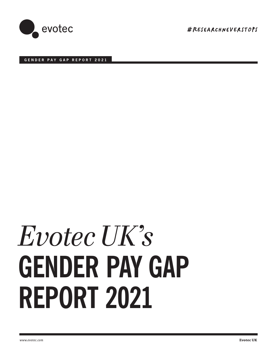

#RESeArChneVErSTOpS

# **GENDER PAY GAP REPORT 2021**

# **GENDER PAY GAP REPORT 2021** *Evotec UK's*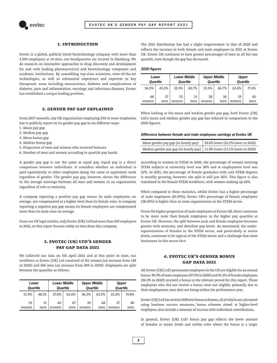

## **1. Introduction**

Evotec is a global, publicly listed biotechnology company with more than 3,500 employees at 14 sites; our headquarters are located in Hamburg. We do research on innovative approaches to drug discovery and development for and with leading pharmaceutical and biotechnology companies and academic institutions. By assembling top-class scientists, state-of-the-art technologies, as well as substantial experience and expertise in key therapeutic areas including neuroscience, diabetes and complications of diabetes, pain and inflammation, oncology and infectious diseases, Evotec has established a unique leading position.

## **2. Gender Pay Gap explained**

From 2017 onwards, any UK organisation employing 250 or more employees has to publicly report on its gender pay gap in six different ways:

- 1. Mean pay gap
- 2. Median pay gap
- 3. Mean bonus gap
- 4. Median bonus gap
- 5. Proportion of men and women who received bonuses
- 6. Number of men and women according to quartile pay bands

A gender pay gap is not the same as equal pay. Equal pay is a direct comparison between individuals. It considers whether an individual is paid equivalently to other employees doing the same or equivalent work regardless of gender. The gender pay gap, however, shows the difference in the average earnings between all men and women in an organisation regardless of role or seniority.

A company reporting a positive pay gap means its male employees, on average, are compensated at a higher level than its female ones. A company reporting a negative pay gap means its female employees are compensated more than its male ones on average.

From our UK legal entities, only Evotec (UK) Ltd had more than 250 employees in 2021, so this report focuses solely on data from this company.

# **3. Evotec (UK) Ltd's Gender Pay Gap data 2021**

We collected our data on 5th April 2021 and at this point in time, our workforce at Evotec (UK) Ltd consisted of 161 women (an increase from 128 in 2020) and 266 men (an increase from 209 in 2020). Employees are split between the quartiles as follows:

| Lower<br><b>Quartile</b> |       | <b>Lower Middle</b><br><b>Quartile</b> |       | <b>Upper Middle</b><br><b>Quartile</b> |       | <b>Upper</b><br><b>Quartile</b> |       |
|--------------------------|-------|----------------------------------------|-------|----------------------------------------|-------|---------------------------------|-------|
| 51.9%                    | 48.1% | 37.4%                                  | 62.6% | 36.5%                                  | 63.5% | 25.2%                           | 74.8% |
| 55                       | 51    | 40                                     | 67    | 39                                     | 68    | 27                              | 80    |
| women                    | men   | women                                  | men   | women                                  | men   | women                           | men   |

The 2021 distribution has had a slight improvement to that of 2020 and reflects the increase in both female and male employees in 2021 at Evotec UK. Evotec UK continues to have greater percentages of men in all but one quartile, even though the gap has decreased.

## **2020 figures**

| Lower<br><b>Quartile</b> |       | <b>Lower Middle</b><br><b>Ouartile</b> |       | <b>Upper Middle</b><br><b>Quartile</b> |       | <b>Upper</b><br><b>Quartile</b> |       |
|--------------------------|-------|----------------------------------------|-------|----------------------------------------|-------|---------------------------------|-------|
| 56.5%                    | 43.5% | 39.3%                                  | 60.7% | 33.3%                                  | 66.7% | 22.6%                           | 77.4% |
| 48                       | 37    | 33                                     | 51    | 28                                     | 56    | 19                              | 65    |
| women                    | men   | women                                  | men   | women                                  | men   | women                           | men   |

When looking at the mean and median gender pay gap, both Evotec (UK) Ltd.'s mean and median gender pay gap has reduced in comparison to the 2020 figures:

#### **Difference between female and male employees earnings at Evotec UK**

| Mean gender pay gap (in hourly pay)                                            | 20.6% lower (22.5% lower in 2020) |
|--------------------------------------------------------------------------------|-----------------------------------|
| Median gender pay gap (in hourly pay) $\mid$ 11.8% lower (15.1% lower in 2020) |                                   |

According to women in STEM in 2020, the percentage of women entering STEM subjects at university level was 26% and at employment level was 22%. In 2021, the percentage of female graduates with core STEM degrees is steadily growing, however, the split is still just 26%. This figure is also translated in the female STEM workforce, with women making up 24%.

When compared to these statistics, whilst Evotec has a higher percentage of male employees (61.95%), Evotec UK's percentage of female employees (38.05%) is higher than in some organisations in the STEM sector.

Given the higher proportion of male employees at Evotec UK, there continues to be more male than female employees in the higher pay quartiles at Evotec UK. However, the split between male and female employees becomes greater with seniority, and therefore pay levels. As mentioned, the underrepresentation of females in the STEM sector, and particularly at senior levels, continues to be typical of the STEM sector and a challenge that most businesses in this sector face.

# **4. Evotec UK's Gender Bonus Gap data 2021**

All Evotec (UK) Ltd's permanent employees in the UK are eligible for an annual bonus. 90.3% of male employees (97.2% in 2020) and 91.5% of female employees (96.2% in 2020) received a bonus in the relevant period for this report. Those employees who did not receive a bonus were not eligible, primarily due to their employment start date not being within the performance year.

Evotec (UK) Ltd has several different bonus schemes, all of which are calculated using business success measures; bonus schemes aimed at higher-level employees also include a measure of success with individual contributions.

In general, Evotec (UK) Ltd's bonus pay gap reflects the lower amount of females at senior levels and within roles where the bonus is a larger